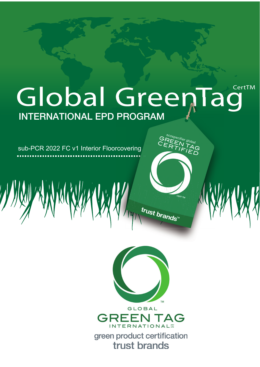# **CertTM** Global Green1 ag **INTERNATIONAL EPD PROGRAM**

sub-PCR 2022 FC v1 Interior Floorcovering





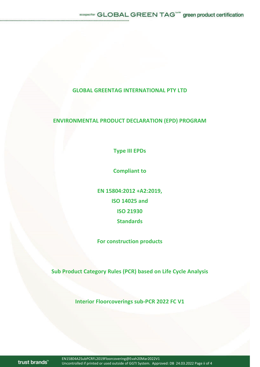## **GLOBAL GREENTAG INTERNATIONAL PTY LTD**

## **ENVIRONMENTAL PRODUCT DECLARATION (EPD) PROGRAM**

**Type III EPDs**

**Compliant to**

**EN 15804:2012 +A2:2019, ISO 14025 and ISO 21930 Standards**

**For construction products**

**Sub Product Category Rules (PCR) based on Life Cycle Analysis**

**Interior Floorcoverings subͲPCR 2022 FC V1**

trust brands"

EN15804A2SubPCRFL2019Floorcovering@Evah20Mar2022V1 Uncontrolled if printed or used outside of GGTI System. Approved: DB 24.03.2022 Page ii of 4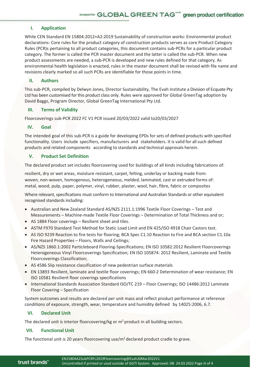**I. Application**

While CEN Standard EN 15804:2012+A2:2019 Sustainability of construction works: Environmental product declarations: Core rules for the product category of construction products serves as core Product Category Rules (PCR)s pertaining to all product categories, this document contains sub-PCRs for a particular product category. The former is called the PCR master document and the latter is called the sub-PCR. When new product assessments are needed, a sub-PCR is developed and new rules defined for that category. As environmental health legislation is enacted, rules in the master document shall be revised with file name and revisions clearly marked so all such PCRs are identifiable for those points in time.

#### **II. Authors**

This sub-PCR, compiled by Delwyn Jones, Director Sustainability, The Evah Institute a Division of Ecquate Pty Ltd has been customised for this product class only. Rules were approved for Global GreenTag adoption by David Baggs, Program Director, Global GreenTag International Pty Ltd.

#### **III. Terms of Validity**

Floorcoverings sub-PCR 2022 FC V1 PCR issued 20/03/2022 valid to20/03/2027

#### **IV. Goal**

The intended goal of this sub-PCR is a guide for developing EPDs for sets of defined products with specified functionality. Users include specifiers, manufacturers and stakeholders. It is valid for all such defined products and related components according to standards and technical approvals herein.

#### **V. Product Set Definition**

The declared product set includes floorcovering used for buildings of all kinds including fabrications of:

resilient, dry or wet areas, moisture resistant, carpet, felting, underlay or backing made from: woven, non-woven, homogenous, heterogeneous, melded, laminated, cast or extruded forms of: metal, wood, pulp, paper, polymer, vinyl, rubber, plaster, wool, hair, fibre, fabric or composites

Where relevant, specifications must conform to International and Australian Standards or other equivalent recognised standards including:

- Australian and New Zealand Standard AS/NZS 2111.1:1996 Textile Floor Coverings Test and Measurements – Machine-made Textile Floor Coverings – Determination of Total Thickness and or;
- AS 1884 Floor coverings Resilient sheet and tiles.
- ASTM F970 Standard Test Method for Static Load Limit and EN 425/ISO 4918 Chair Castors test.
- AS ISO 9239 Reaction to fire tests for flooring; BCA Spec C1.10 Reaction to Fire and BCA section C1.10a Fire Hazard Properties – Floors, Walls and Ceilings;
- AS/NZS 1860.1:2002 Particleboard Flooring-Specifications; EN ISO 10582:2012 Resilient Floorcoverings Heterogeneous Vinyl Floorcoverings Specification; EN ISO 105874: 2012 Resilient, Laminate and Textile Floorcoverings Classification;
- AS 4586 Slip resistance classification of new pedestrian surface materials
- EN 13893 Resilient, laminate and textile floor coverings; EN 660-2 Determination of wear resistance; EN ISO 10581 Resilient floor coverings specifications
- International Standards Association Standard ISO/TC 219 Floor Coverings; ISO 14486:2012 Laminate Floor Covering – Specification

System outcomes and results are declared per unit mass and reflect product performance at reference conditions of exposure, strength, wear, temperature and humidity defined by 14025:2006, 6.7.

### **VI. Declared Unit**

The declared unit is interior floorcovering/kg or  $m<sup>2</sup>$  product in all building sectors.

#### **VII. Functional Unit**

The functional unit is 20 years floorcovering use/ $m<sup>2</sup>$  declared product cradle to grave.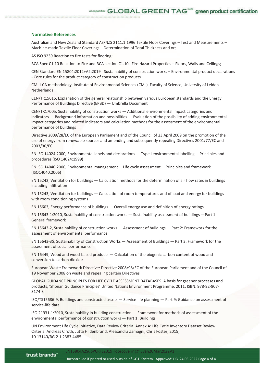#### **Normative References**

Australian and New Zealand Standard AS/NZS 2111.1:1996 Textile Floor Coverings – Test and Measurements – Machine-made Textile Floor Coverings – Determination of Total Thickness and or;

AS ISO 9239 Reaction to fire tests for flooring;

BCA Spec C1.10 Reaction to Fire and BCA section C1.10a Fire Hazard Properties – Floors, Walls and Ceilings;

CEN Standard EN 15804:2012+A2:2019 - Sustainability of construction works – Environmental product declarations - Core rules for the product category of construction products

CML LCA methodology, Institute of Environmental Sciences (CML), Faculty of Science, University of Leiden, Netherlands

CEN/TR15615, Explanation of the general relationship between various European standards and the Energy Performance of Buildings Directive (EPBD) — Umbrella Document

CEN/TR17005, Sustainability of construction works — Additional environmental impact categories and indicators — Background information and possibilities — Evaluation of the possibility of adding environmental impact categories and related indicators and calculation methods for the assessment of the environmental performance of buildings

Directive 2009/28/EC of the European Parliament and of the Council of 23 April 2009 on the promotion of the use of energy from renewable sources and amending and subsequently repealing Directives 2001/77/EC and 2003/30/EC

EN ISO 14024:2000, Environmental labels and declarations — Type I environmental labelling —Principles and procedures (ISO 14024:1999)

EN ISO 14040:2006, Environmental management— Life cycle assessment— Principles and framework (ISO14040:2006)

EN 15242, Ventilation for buildings — Calculation methods for the determination of air flow rates in buildings including infiltration

EN 15243, Ventilation for buildings — Calculation of room temperatures and of load and energy for buildings with room conditioning systems

EN 15603, Energy performance of buildings — Overall energy use and definition of energy ratings

EN 15643-1:2010, Sustainability of construction works — Sustainability assessment of buildings —Part 1: General framework

EN 15643-2, Sustainability of construction works — Assessment of buildings — Part 2: Framework for the assessment of environmental performance

EN 15643-3\$, Sustainability of Construction Works — Assessment of Buildings — Part 3: Framework for the assessment of social performance

EN 16449, Wood and wood-based products — Calculation of the biogenic carbon content of wood and conversion to carbon dioxide

European Waste Framework Directive: Directive 2008/98/EC of the European Parliament and of the Council of 19 November 2008 on waste and repealing certain Directives

GLOBAL GUIDANCE PRINCIPLES FOR LIFE CYCLE ASSESSMENT DATABASES. A basis for greener processes and products, 'Shonan Guidance Principles' United Nations Environment Programme, 2011; ISBN: 978-92-807-3174-3

ISO/TS15686-9, Buildings and constructed assets — Service-life planning — Part 9: Guidance on assessment of service-life data

ISO 21931-1:2010, Sustainability in building construction — Framework for methods of assessment of the environmental performance of construction works — Part 1: Buildings

UN Environment Life Cycle Initiative, Data Review Criteria. Annex A: Life Cycle Inventory Dataset Review Criteria. Andreas Ciroth, Jutta Hildenbrand, Alessandra Zamagni, Chris Foster, 2015, 10.13140/RG.2.1.2383.4485